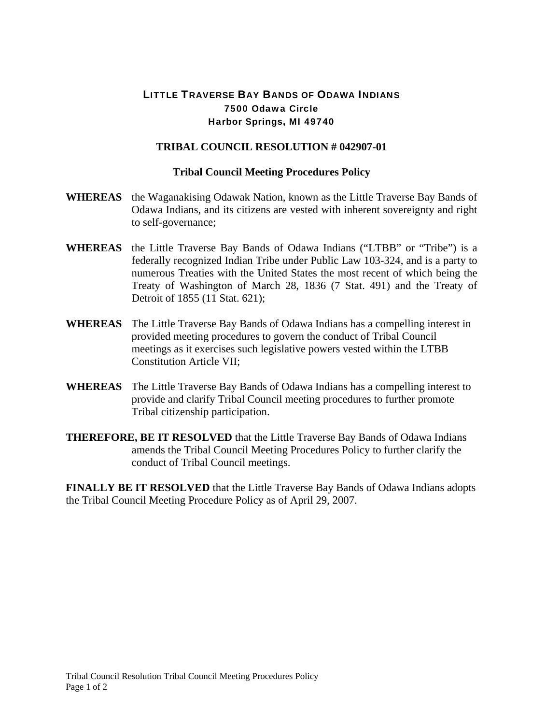## LITTLE TRAVERSE BAY BANDS OF ODAWA INDIANS 7500 Odawa Circle Harbor Springs, MI 49740

## **TRIBAL COUNCIL RESOLUTION # 042907-01**

## **Tribal Council Meeting Procedures Policy**

- **WHEREAS** the Waganakising Odawak Nation, known as the Little Traverse Bay Bands of Odawa Indians, and its citizens are vested with inherent sovereignty and right to self-governance;
- **WHEREAS** the Little Traverse Bay Bands of Odawa Indians ("LTBB" or "Tribe") is a federally recognized Indian Tribe under Public Law 103-324, and is a party to numerous Treaties with the United States the most recent of which being the Treaty of Washington of March 28, 1836 (7 Stat. 491) and the Treaty of Detroit of 1855 (11 Stat. 621);
- **WHEREAS** The Little Traverse Bay Bands of Odawa Indians has a compelling interest in provided meeting procedures to govern the conduct of Tribal Council meetings as it exercises such legislative powers vested within the LTBB Constitution Article VII;
- **WHEREAS** The Little Traverse Bay Bands of Odawa Indians has a compelling interest to provide and clarify Tribal Council meeting procedures to further promote Tribal citizenship participation.
- **THEREFORE, BE IT RESOLVED** that the Little Traverse Bay Bands of Odawa Indians amends the Tribal Council Meeting Procedures Policy to further clarify the conduct of Tribal Council meetings.

**FINALLY BE IT RESOLVED** that the Little Traverse Bay Bands of Odawa Indians adopts the Tribal Council Meeting Procedure Policy as of April 29, 2007.